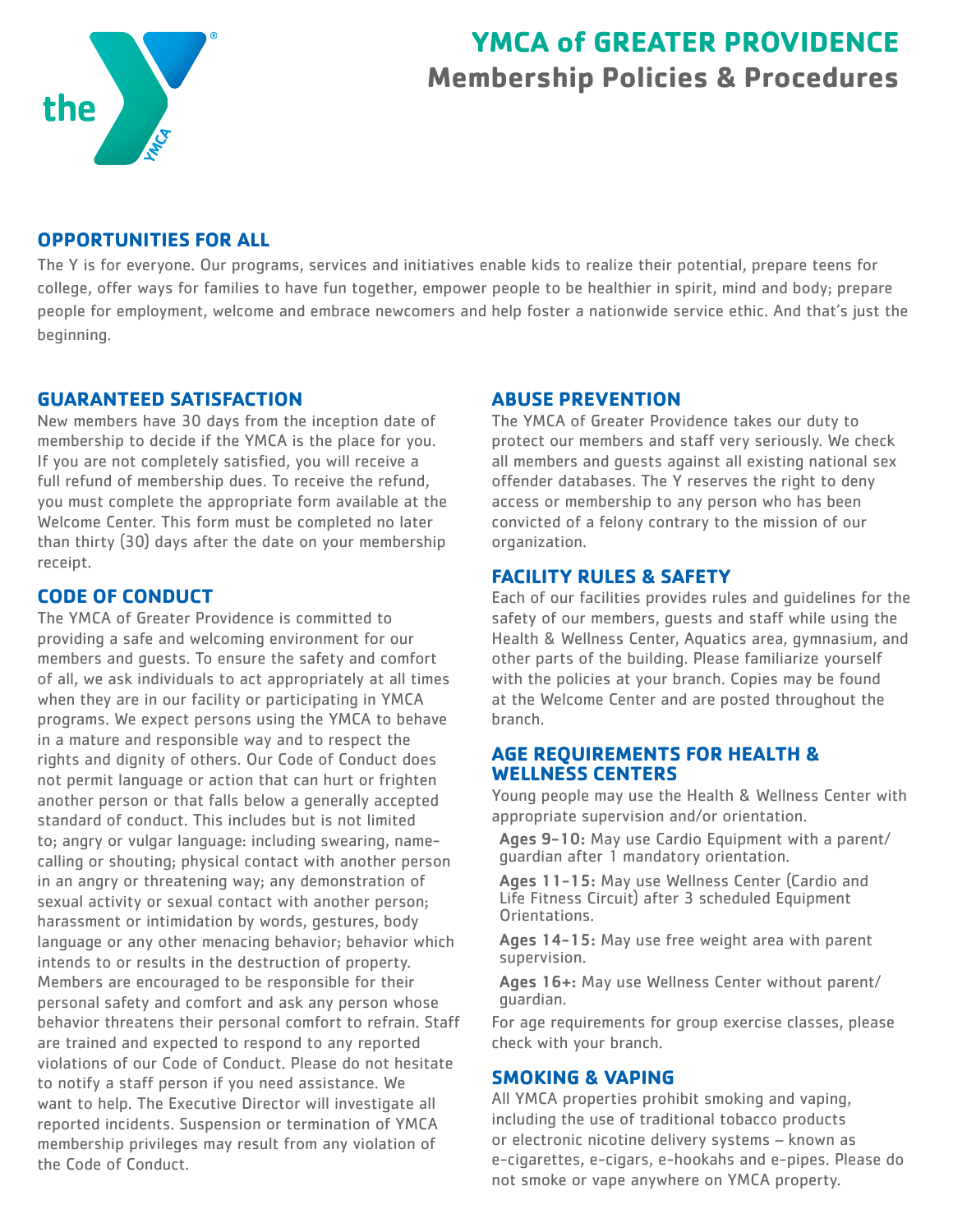

# **YMCA of GREATER PROVIDENCE Membership Policies & Procedures**

# **OPPORTUNITIES FOR ALL**

The Y is for everyone. Our programs, services and initiatives enable kids to realize their potential, prepare teens for college, offer ways for families to have fun together, empower people to be healthier in spirit, mind and body; prepare people for employment, welcome and embrace newcomers and help foster a nationwide service ethic. And that's just the beginning.

## **GUARANTEED SATISFACTION**

New members have 30 days from the inception date of membership to decide if the YMCA is the place for you. If you are not completely satisfied, you will receive a full refund of membership dues. To receive the refund, you must complete the appropriate form available at the Welcome Center. This form must be completed no later than thirty (30) days after the date on your membership receipt.

# **CODE OF CONDUCT**

The YMCA of Greater Providence is committed to providing a safe and welcoming environment for our members and guests. To ensure the safety and comfort of all, we ask individuals to act appropriately at all times when they are in our facility or participating in YMCA programs. We expect persons using the YMCA to behave in a mature and responsible way and to respect the rights and dignity of others. Our Code of Conduct does not permit language or action that can hurt or frighten another person or that falls below a generally accepted standard of conduct. This includes but is not limited to; angry or vulgar language: including swearing, namecalling or shouting; physical contact with another person in an angry or threatening way; any demonstration of sexual activity or sexual contact with another person; harassment or intimidation by words, gestures, body language or any other menacing behavior; behavior which intends to or results in the destruction of property. Members are encouraged to be responsible for their personal safety and comfort and ask any person whose behavior threatens their personal comfort to refrain. Staff are trained and expected to respond to any reported violations of our Code of Conduct. Please do not hesitate to notify a staff person if you need assistance. We want to help. The Executive Director will investigate all reported incidents. Suspension or termination of YMCA membership privileges may result from any violation of the Code of Conduct.

### **ABUSE PREVENTION**

The YMCA of Greater Providence takes our duty to protect our members and staff very seriously. We check all members and guests against all existing national sex offender databases. The Y reserves the right to deny access or membership to any person who has been convicted of a felony contrary to the mission of our organization.

# **FACILITY RULES & SAFETY**

Each of our facilities provides rules and guidelines for the safety of our members, guests and staff while using the Health & Wellness Center, Aquatics area, gymnasium, and other parts of the building. Please familiarize yourself with the policies at your branch. Copies may be found at the Welcome Center and are posted throughout the branch.

## **AGE REQUIREMENTS FOR HEALTH & WELLNESS CENTERS**

Young people may use the Health & Wellness Center with appropriate supervision and/or orientation.

Ages 9-10: May use Cardio Equipment with a parent/ guardian after 1 mandatory orientation.

Ages 11-15: May use Wellness Center (Cardio and Life Fitness Circuit) after 3 scheduled Equipment Orientations.

Ages 14-15: May use free weight area with parent supervision.

Ages 16+: May use Wellness Center without parent/ guardian.

For age requirements for group exercise classes, please check with your branch.

# **SMOKING & VAPING**

All YMCA properties prohibit smoking and vaping, including the use of traditional tobacco products or electronic nicotine delivery systems – known as e-cigarettes, e-cigars, e-hookahs and e-pipes. Please do not smoke or vape anywhere on YMCA property.